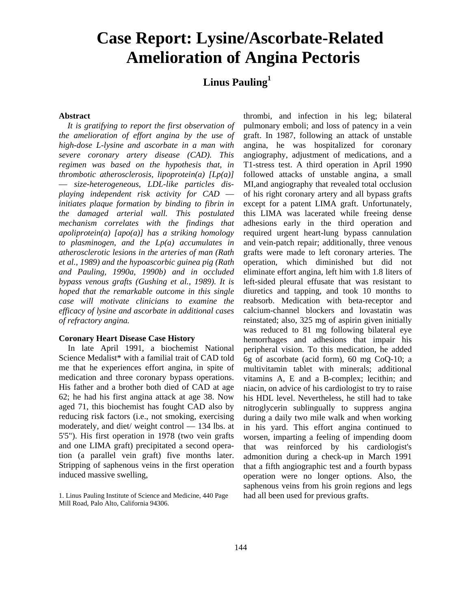# **Case Report: Lysine/Ascorbate-Related Amelioration of Angina Pectoris**

# **Linus Pauling<sup>1</sup>**

#### **Abstract**

*It is gratifying to report the first observation of the amelioration of effort angina by the use of high-dose L-lysine and ascorbate in a man with severe coronary artery disease (CAD). This regimen was based on the hypothesis that, in thrombotic atherosclerosis, lipoprotein(a) [Lp(a)]*  — *size-heterogeneous, LDL-like particles displaying independent risk activity for CAD initiates plaque formation by binding to fibrin in the damaged arterial wall. This postulated mechanism correlates with the findings that apoliprotein(a) [apo(a)] has a striking homology to plasminogen, and the Lp(a) accumulates in atherosclerotic lesions in the arteries of man (Rath et al., 1989) and the hypoascorbic guinea pig (Rath and Pauling, 1990a, 1990b) and in occluded bypass venous grafts (Gushing et al., 1989). It is hoped that the remarkable outcome in this single case will motivate clinicians to examine the efficacy of lysine and ascorbate in additional cases of refractory angina.*

#### **Coronary Heart Disease Case History**

In late April 1991, a biochemist National Science Medalist\* with a familial trait of CAD told me that he experiences effort angina, in spite of medication and three coronary bypass operations. His father and a brother both died of CAD at age 62; he had his first angina attack at age 38. Now aged 71, this biochemist has fought CAD also by reducing risk factors (i.e., not smoking, exercising moderately, and diet/ weight control — 134 lbs. at 5'5"). His first operation in 1978 (two vein grafts and one LIMA graft) precipitated a second operation (a parallel vein graft) five months later. Stripping of saphenous veins in the first operation induced massive swelling,

thrombi, and infection in his leg; bilateral pulmonary emboli; and loss of patency in a vein graft. In 1987, following an attack of unstable angina, he was hospitalized for coronary angiography, adjustment of medications, and a T1-stress test. A third operation in April 1990 followed attacks of unstable angina, a small MI,and angiography that revealed total occlusion of his right coronary artery and all bypass grafts except for a patent LIMA graft. Unfortunately, this LIMA was lacerated while freeing dense adhesions early in the third operation and required urgent heart-lung bypass cannulation and vein-patch repair; additionally, three venous grafts were made to left coronary arteries. The operation, which diminished but did not eliminate effort angina, left him with 1.8 liters of left-sided pleural effusate that was resistant to diuretics and tapping, and took 10 months to reabsorb. Medication with beta-receptor and calcium-channel blockers and lovastatin was reinstated; also, 325 mg of aspirin given initially was reduced to 81 mg following bilateral eye hemorrhages and adhesions that impair his peripheral vision. To this medication, he added 6g of ascorbate (acid form), 60 mg CoQ-10; a multivitamin tablet with minerals; additional vitamins A, E and a B-complex; lecithin; and niacin, on advice of his cardiologist to try to raise his HDL level. Nevertheless, he still had to take nitroglycerin sublingually to suppress angina during a daily two mile walk and when working in his yard. This effort angina continued to worsen, imparting a feeling of impending doom that was reinforced by his cardiologist's admonition during a check-up in March 1991 that a fifth angiographic test and a fourth bypass operation were no longer options. Also, the saphenous veins from his groin regions and legs had all been used for previous grafts.

<sup>1.</sup> Linus Pauling Institute of Science and Medicine, 440 Page Mill Road, Palo Alto, California 94306.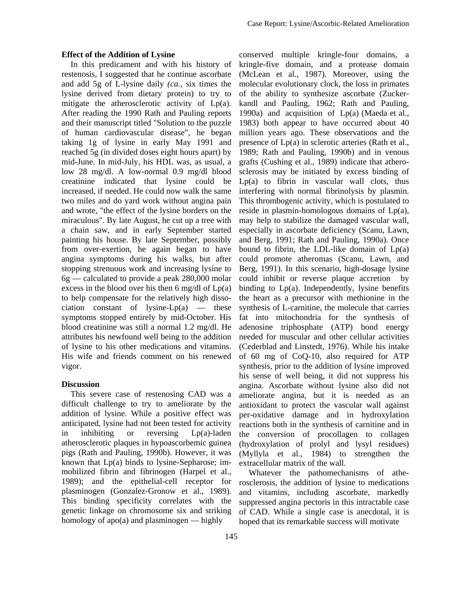### **Effect of the Addition of Lysine**

In this predicament and with his history of restenosis, I suggested that he continue ascorbate and add 5g of L-lysine daily *(ca.,* six times the lysine derived from dietary protein) to try to mitigate the atherosclerotic activity of Lp(a). After reading the 1990 Rath and Pauling reports and their manuscript titled "Solution to the puzzle of human cardiovascular disease", he began taking 1g of lysine in early May 1991 and reached 5g (in divided doses eight hours apart) by mid-June. In mid-July, his HDL was, as usual, a low 28 mg/dl. A low-normal 0.9 mg/dl blood creatinine indicated that lysine could be increased, if needed. He could now walk the same two miles and do yard work without angina pain and wrote, "the effect of the lysine borders on the miraculous". By late August, he cut up a tree with a chain saw, and in early September started painting his house. By late September, possibly from over-exertion, he again began to have angina symptoms during his walks, but after stopping strenuous work and increasing lysine to 6g — calculated to provide a peak 280,000 molar excess in the blood over his then 6 mg/dl of  $Lp(a)$ to help compensate for the relatively high dissociation constant of lysine- $Lp(a)$  — these symptoms stopped entirely by mid-October. His blood creatinine was still a normal 1.2 mg/dl. He attributes his newfound well being to the addition of lysine to his other medications and vitamins. His wife and friends comment on his renewed vigor.

### **Discussion**

This severe case of restenosing CAD was a difficult challenge to try to ameliorate by the addition of lysine. While a positive effect was anticipated, lysine had not been tested for activity in inhibiting or reversing Lp(a)-laden atherosclerotic plaques in hypoascorbemic guinea pigs (Rath and Pauling, 1990b). However, it was known that Lp(a) binds to lysine-Sepharose; immobilized fibrin and fibrinogen (Harpel et al., 1989); and the epithelial-cell receptor for plasminogen (Gonzalez-Gronow et al., 1989). This binding specificity correlates with the genetic linkage on chromosome six and striking homology of apo(a) and plasminogen — highly

conserved multiple kringle-four domains, a kringle-five domain, and a protease domain (McLean et al., 1987). Moreover, using the molecular evolutionary clock, the loss in primates of the ability to synthesize ascorbate (Zuckerkandl and Pauling, 1962; Rath and Pauling, 1990a) and acquisition of  $Lp(a)$  (Maeda et al., 1983) both appear to have occurred about 40 million years ago. These observations and the presence of Lp(a) in sclerotic arteries (Rath et al., 1989; Rath and Pauling, 1990b) and in venous grafts (Cushing et al., 1989) indicate that atherosclerosis may be initiated by excess binding of  $Lp(a)$  to fibrin in vascular wall clots, thus interfering with normal fibrinolysis by plasmin. This thrombogenic activity, which is postulated to reside in plasmin-homologous domains of Lp(a), may help to stabilize the damaged vascular wall, especially in ascorbate deficiency (Scanu, Lawn, and Berg, 1991; Rath and Pauling, 1990a). Once bound to fibrin, the LDL-like domain of  $Lp(a)$ could promote atheromas (Scanu, Lawn, and Berg, 1991). In this scenario, high-dosage lysine could inhibit or reverse plaque accretion by binding to Lp(a). Independently, lysine benefits the heart as a precursor with methionine in the synthesis of L-carnitine, the molecule that carries fat into mitochondria for the synthesis of adenosine triphosphate (ATP) bond energy needed for muscular and other cellular activities (Cederblad and Linstedt, 1976). While his intake of 60 mg of CoQ-10, also required for ATP synthesis, prior to the addition of lysine improved his sense of well being, it did not suppress his angina. Ascorbate without lysine also did not ameliorate angina, but it is needed as an antioxidant to protect the vascular wall against per-oxidative damage and in hydroxylation reactions both in the synthesis of carnitine and in the conversion of procollagen to collagen (hydroxylation of prolyl and lysyl residues) (Myllyla et al., 1984) to strengthen the extracellular matrix of the wall.

Whatever the pathomechanisms of atherosclerosis, the addition of lysine to medications and vitamins, including ascorbate, markedly suppressed angina pectoris in this intractable case of CAD. While a single case is anecdotal, it is hoped that its remarkable success will motivate